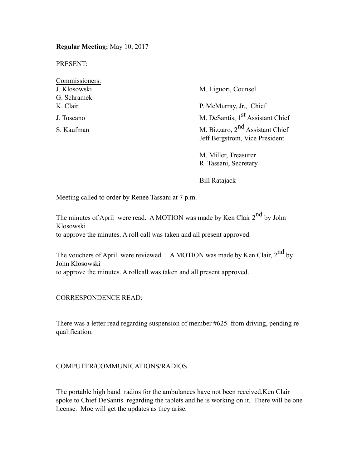**Regular Meeting:** May 10, 2017

PRESENT:

| Commissioners: |                                              |
|----------------|----------------------------------------------|
| J. Klosowski   | M. Liguori, Counsel                          |
| G. Schramek    |                                              |
| K. Clair       | P. McMurray, Jr., Chief                      |
| J. Toscano     | M. DeSantis, 1 <sup>st</sup> Assistant Chief |
| S. Kaufman     | M. Bizzaro, $2nd$ Assistant Chief            |
|                | Jeff Bergstrom, Vice President               |
|                |                                              |

M. Miller, Treasurer R. Tassani, Secretary

Bill Ratajack

Meeting called to order by Renee Tassani at 7 p.m.

The minutes of April were read. A MOTION was made by Ken Clair 2<sup>nd</sup> by John Klosowski to approve the minutes. A roll call was taken and all present approved.

The vouchers of April were reviewed. .A MOTION was made by Ken Clair, 2<sup>nd</sup> by John Klosowski to approve the minutes. A rollcall was taken and all present approved.

CORRESPONDENCE READ:

There was a letter read regarding suspension of member #625 from driving, pending re qualification.

### COMPUTER/COMMUNICATIONS/RADIOS

The portable high band radios for the ambulances have not been received.Ken Clair spoke to Chief DeSantis regarding the tablets and he is working on it. There will be one license. Moe will get the updates as they arise.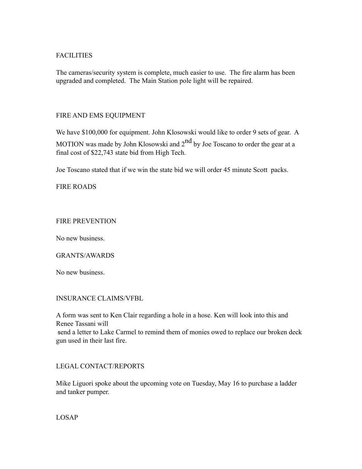# FACILITIES

The cameras/security system is complete, much easier to use. The fire alarm has been upgraded and completed. The Main Station pole light will be repaired.

## FIRE AND EMS EQUIPMENT

We have \$100,000 for equipment. John Klosowski would like to order 9 sets of gear. A MOTION was made by John Klosowski and  $2<sup>nd</sup>$  by Joe Toscano to order the gear at a final cost of \$22,743 state bid from High Tech.

Joe Toscano stated that if we win the state bid we will order 45 minute Scott packs.

FIRE ROADS

## FIRE PREVENTION

No new business.

### GRANTS/AWARDS

No new business.

### INSURANCE CLAIMS/VFBL

A form was sent to Ken Clair regarding a hole in a hose. Ken will look into this and Renee Tassani will send a letter to Lake Carmel to remind them of monies owed to replace our broken deck gun used in their last fire.

# LEGAL CONTACT/REPORTS

Mike Liguori spoke about the upcoming vote on Tuesday, May 16 to purchase a ladder and tanker pumper.

LOSAP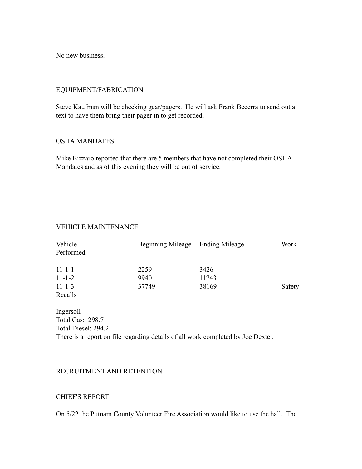No new business.

## EQUIPMENT/FABRICATION

Steve Kaufman will be checking gear/pagers. He will ask Frank Becerra to send out a text to have them bring their pager in to get recorded.

### OSHA MANDATES

Mike Bizzaro reported that there are 5 members that have not completed their OSHA Mandates and as of this evening they will be out of service.

# VEHICLE MAINTENANCE

| Vehicle<br>Performed | Beginning Mileage Ending Mileage |       | Work   |
|----------------------|----------------------------------|-------|--------|
| $11 - 1 - 1$         | 2259                             | 3426  |        |
| $11 - 1 - 2$         | 9940                             | 11743 |        |
| $11 - 1 - 3$         | 37749                            | 38169 | Safety |
| Recalls              |                                  |       |        |

Ingersoll Total Gas: 298.7 Total Diesel: 294.2 There is a report on file regarding details of all work completed by Joe Dexter.

### RECRUITMENT AND RETENTION

### CHIEF'S REPORT

On 5/22 the Putnam County Volunteer Fire Association would like to use the hall. The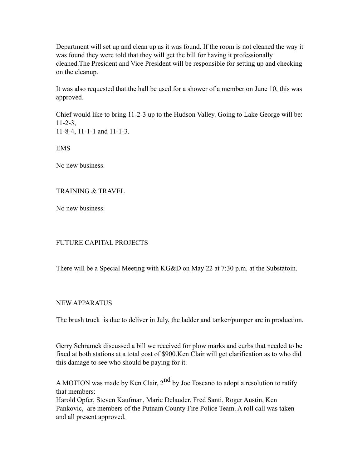Department will set up and clean up as it was found. If the room is not cleaned the way it was found they were told that they will get the bill for having it professionally cleaned.The President and Vice President will be responsible for setting up and checking on the cleanup.

It was also requested that the hall be used for a shower of a member on June 10, this was approved.

Chief would like to bring 11-2-3 up to the Hudson Valley. Going to Lake George will be:  $11 - 2 - 3$ 11-8-4, 11-1-1 and 11-1-3.

EMS

No new business.

## TRAINING & TRAVEL

No new business.

# FUTURE CAPITAL PROJECTS

There will be a Special Meeting with KG&D on May 22 at 7:30 p.m. at the Substatoin.

# NEW APPARATUS

The brush truck is due to deliver in July, the ladder and tanker/pumper are in production.

Gerry Schramek discussed a bill we received for plow marks and curbs that needed to be fixed at both stations at a total cost of \$900.Ken Clair will get clarification as to who did this damage to see who should be paying for it.

A MOTION was made by Ken Clair,  $2<sup>nd</sup>$  by Joe Toscano to adopt a resolution to ratify that members:

Harold Opfer, Steven Kaufman, Marie Delauder, Fred Santi, Roger Austin, Ken Pankovic, are members of the Putnam County Fire Police Team. A roll call was taken and all present approved.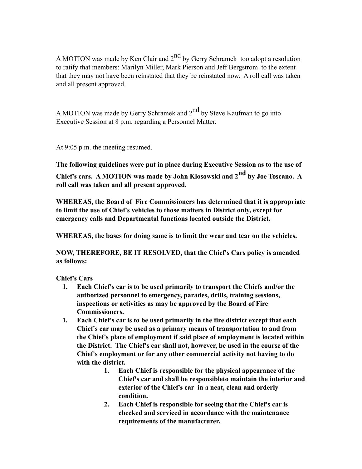A MOTION was made by Ken Clair and  $2<sup>nd</sup>$  by Gerry Schramek too adopt a resolution to ratify that members: Marilyn Miller, Mark Pierson and Jeff Bergstrom to the extent that they may not have been reinstated that they be reinstated now. A roll call was taken and all present approved.

A MOTION was made by Gerry Schramek and  $2<sup>nd</sup>$  by Steve Kaufman to go into Executive Session at 8 p.m. regarding a Personnel Matter.

At 9:05 p.m. the meeting resumed.

**The following guidelines were put in place during Executive Session as to the use of Chief's cars. A MOTION was made by John Klosowski and 2nd by Joe Toscano. A** 

**roll call was taken and all present approved.**

**WHEREAS, the Board of Fire Commissioners has determined that it is appropriate to limit the use of Chief's vehicles to those matters in District only, except for emergency calls and Departmental functions located outside the District.**

**WHEREAS, the bases for doing same is to limit the wear and tear on the vehicles.**

**NOW, THEREFORE, BE IT RESOLVED, that the Chief's Cars policy is amended as follows:**

**Chief's Cars**

- **1. Each Chief's car is to be used primarily to transport the Chiefs and/or the authorized personnel to emergency, parades, drills, training sessions, inspections or activities as may be approved by the Board of Fire Commissioners.**
- **1. Each Chief's car is to be used primarily in the fire district except that each Chief's car may be used as a primary means of transportation to and from the Chief's place of employment if said place of employment is located within the District. The Chief's car shall not, however, be used in the course of the Chief's employment or for any other commercial activity not having to do with the district.**
	- **1. Each Chief is responsible for the physical appearance of the Chief's car and shall be responsibleto maintain the interior and exterior of the Chief's car in a neat, clean and orderly condition.**
	- **2. Each Chief is responsible for seeing that the Chief's car is checked and serviced in accordance with the maintenance requirements of the manufacturer.**